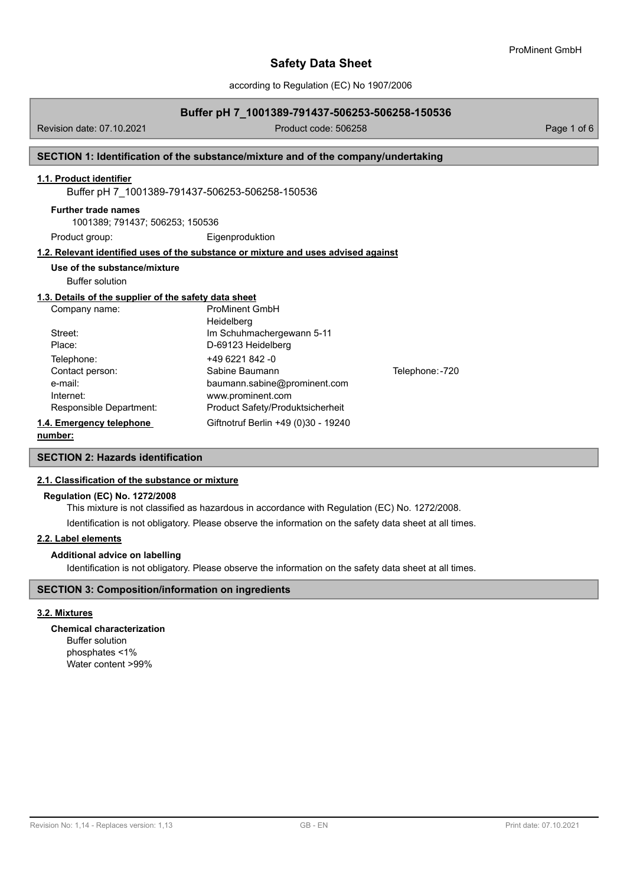according to Regulation (EC) No 1907/2006

### **Buffer pH 7\_1001389-791437-506253-506258-150536**

Revision date: 07.10.2021 Product code: 506258 Page 1 of 6

## **SECTION 1: Identification of the substance/mixture and of the company/undertaking**

## **1.1. Product identifier**

Buffer pH 7\_1001389-791437-506253-506258-150536

### **Further trade names**

1001389; 791437; 506253; 150536

Product group: Eigenproduktion

## **1.2. Relevant identified uses of the substance or mixture and uses advised against**

## **Use of the substance/mixture**

Buffer solution

### **1.3. Details of the supplier of the safety data sheet**

| Company name:            | <b>ProMinent GmbH</b>               |                 |
|--------------------------|-------------------------------------|-----------------|
|                          | Heidelberg                          |                 |
| Street:                  | Im Schuhmachergewann 5-11           |                 |
| Place:                   | D-69123 Heidelberg                  |                 |
| Telephone:               | +49 6221 842 -0                     |                 |
| Contact person:          | Sabine Baumann                      | Telephone: -720 |
| e-mail:                  | baumann.sabine@prominent.com        |                 |
| Internet:                | www.prominent.com                   |                 |
| Responsible Department:  | Product Safety/Produktsicherheit    |                 |
| 1.4. Emergency telephone | Giftnotruf Berlin +49 (0)30 - 19240 |                 |
|                          |                                     |                 |

## **number:**

## **SECTION 2: Hazards identification**

#### **2.1. Classification of the substance or mixture**

#### **Regulation (EC) No. 1272/2008**

This mixture is not classified as hazardous in accordance with Regulation (EC) No. 1272/2008.

Identification is not obligatory. Please observe the information on the safety data sheet at all times.

### **2.2. Label elements**

#### **Additional advice on labelling**

Identification is not obligatory. Please observe the information on the safety data sheet at all times.

### **SECTION 3: Composition/information on ingredients**

#### **3.2. Mixtures**

#### **Chemical characterization**

Buffer solution phosphates <1% Water content >99%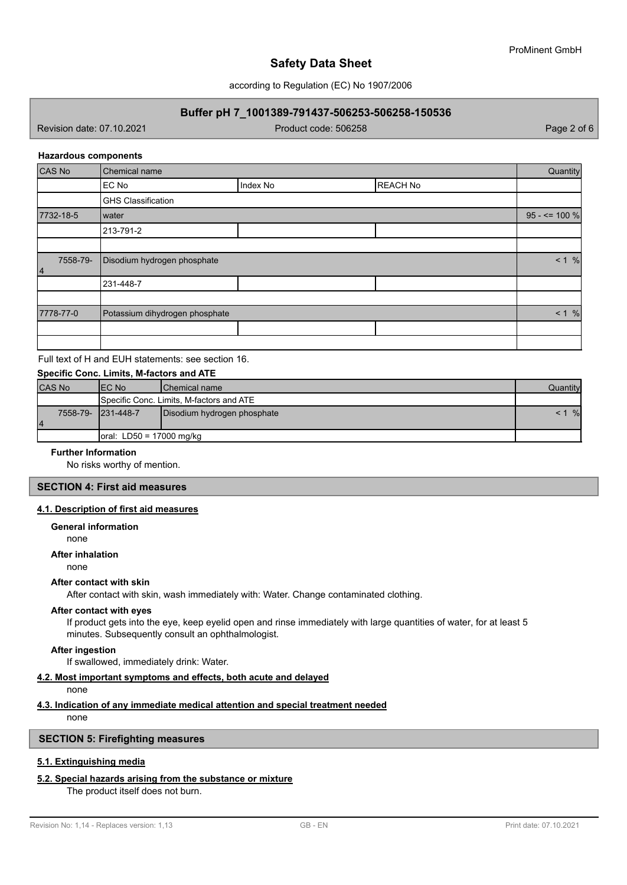according to Regulation (EC) No 1907/2006

## **Buffer pH 7\_1001389-791437-506253-506258-150536**

Revision date: 07.10.2021 Product code: 506258 Page 2 of 6

#### **Hazardous components**

| CAS No         | Chemical name                  |          |                 | Quantity         |
|----------------|--------------------------------|----------|-----------------|------------------|
|                | EC No                          | Index No | <b>REACH No</b> |                  |
|                | <b>GHS Classification</b>      |          |                 |                  |
| 7732-18-5      | Iwater                         |          |                 | $95 - 5 = 100 %$ |
|                | 213-791-2                      |          |                 |                  |
|                |                                |          |                 |                  |
| 7558-79-<br> 4 | Disodium hydrogen phosphate    |          |                 | < 1 %            |
|                | 231-448-7                      |          |                 |                  |
|                |                                |          |                 |                  |
| 7778-77-0      | Potassium dihydrogen phosphate |          | < 1 %           |                  |
|                |                                |          |                 |                  |
|                |                                |          |                 |                  |

Full text of H and EUH statements: see section 16.

## **Specific Conc. Limits, M-factors and ATE**

| <b>CAS No</b>            | IEC No                                   | <b>IChemical name</b>       | Quantity |
|--------------------------|------------------------------------------|-----------------------------|----------|
|                          | Specific Conc. Limits, M-factors and ATE |                             |          |
| 7558-79- 231-448-7<br>14 |                                          | Disodium hydrogen phosphate | $\%$     |
|                          | $\vert$ oral: LD50 = 17000 mg/kg         |                             |          |

### **Further Information**

No risks worthy of mention.

## **SECTION 4: First aid measures**

#### **4.1. Description of first aid measures**

#### **General information**

none

# **After inhalation**

none

#### **After contact with skin**

After contact with skin, wash immediately with: Water. Change contaminated clothing.

#### **After contact with eyes**

If product gets into the eye, keep eyelid open and rinse immediately with large quantities of water, for at least 5 minutes. Subsequently consult an ophthalmologist.

#### **After ingestion**

If swallowed, immediately drink: Water.

#### **4.2. Most important symptoms and effects, both acute and delayed**

## none

## **4.3. Indication of any immediate medical attention and special treatment needed**

none

## **SECTION 5: Firefighting measures**

## **5.1. Extinguishing media**

### **5.2. Special hazards arising from the substance or mixture**

The product itself does not burn.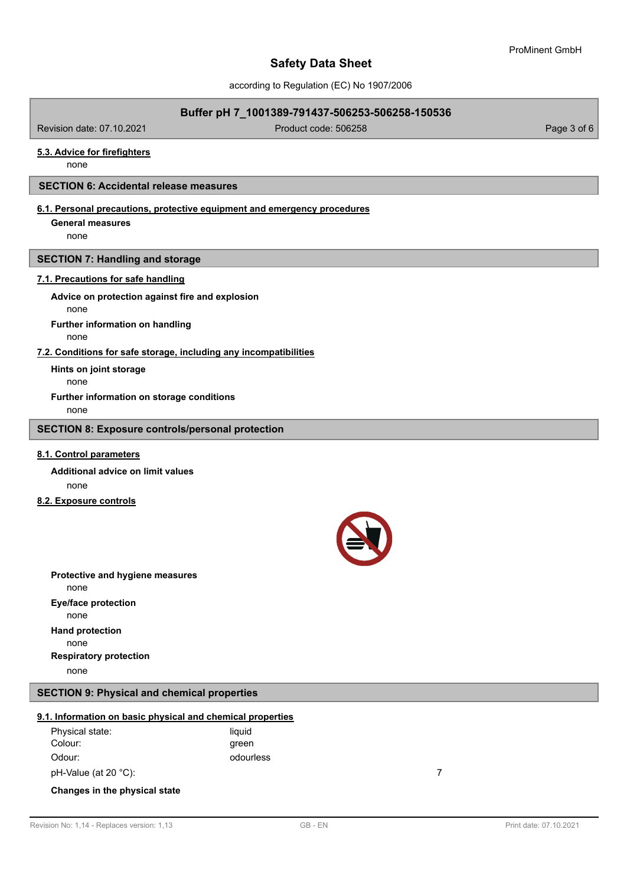according to Regulation (EC) No 1907/2006

## **Buffer pH 7\_1001389-791437-506253-506258-150536**

Revision date: 07.10.2021 Product code: 506258 Page 3 of 6

### **5.3. Advice for firefighters**

none

#### **SECTION 6: Accidental release measures**

## **6.1. Personal precautions, protective equipment and emergency procedures**

**General measures**

none

## **SECTION 7: Handling and storage**

## **7.1. Precautions for safe handling**

none **Advice on protection against fire and explosion**

none **Further information on handling**

**7.2. Conditions for safe storage, including any incompatibilities**

**Hints on joint storage**

none

**Further information on storage conditions**

none

## **SECTION 8: Exposure controls/personal protection**

## **8.1. Control parameters**

none **Additional advice on limit values**

**8.2. Exposure controls**



none **Protective and hygiene measures** none **Eye/face protection** none **Hand protection** none **Respiratory protection**

## **SECTION 9: Physical and chemical properties**

#### **9.1. Information on basic physical and chemical properties**

| Physical state:      | liauid    |  |
|----------------------|-----------|--|
| Colour:              | green     |  |
| Odour:               | odourless |  |
| pH-Value (at 20 °C): |           |  |

# **Changes in the physical state**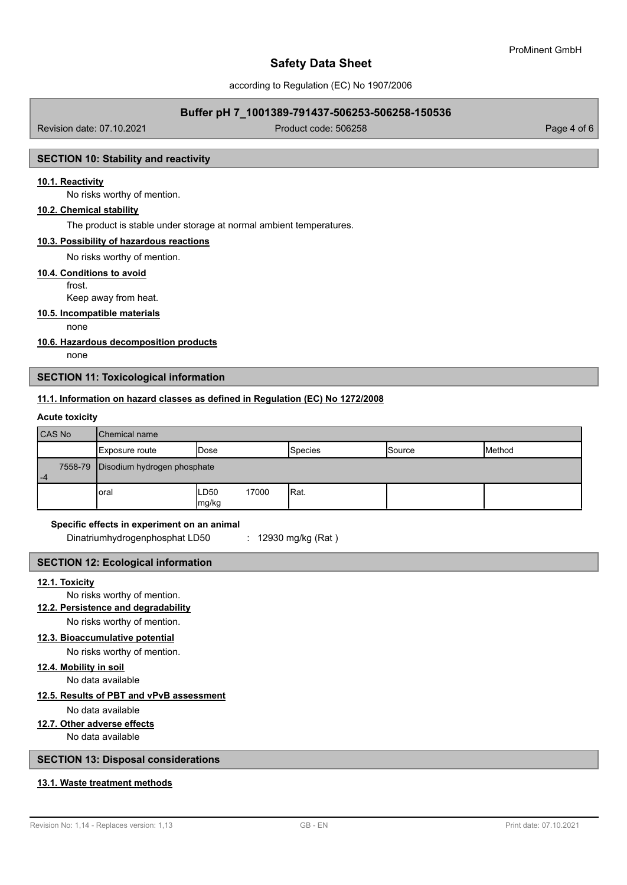according to Regulation (EC) No 1907/2006

## **Buffer pH 7\_1001389-791437-506253-506258-150536**

Revision date: 07.10.2021 Product code: 506258 Page 4 of 6

## **SECTION 10: Stability and reactivity**

## **10.1. Reactivity**

No risks worthy of mention.

## **10.2. Chemical stability**

The product is stable under storage at normal ambient temperatures.

#### **10.3. Possibility of hazardous reactions**

No risks worthy of mention.

#### **10.4. Conditions to avoid**

frost.

Keep away from heat.

## **10.5. Incompatible materials**

none

#### **10.6. Hazardous decomposition products**

none

## **SECTION 11: Toxicological information**

#### **11.1. Information on hazard classes as defined in Regulation (EC) No 1272/2008**

## **Acute toxicity**

| CAS No | <b>I</b> Chemical name                |                        |                |        |        |
|--------|---------------------------------------|------------------------|----------------|--------|--------|
|        | Exposure route                        | Dose                   | <b>Species</b> | Source | Method |
| $-4$   | 7558-79   Disodium hydrogen phosphate |                        |                |        |        |
|        | oral                                  | LD50<br>17000<br>mg/kg | Rat.           |        |        |

#### **Specific effects in experiment on an animal**

Dinatriumhydrogenphosphat LD50 : 12930 mg/kg (Rat)

## **SECTION 12: Ecological information**

## **12.1. Toxicity**

No risks worthy of mention.

# **12.2. Persistence and degradability**

No risks worthy of mention.

#### **12.3. Bioaccumulative potential**

No risks worthy of mention.

## **12.4. Mobility in soil**

No data available

## **12.5. Results of PBT and vPvB assessment**

No data available

## **12.7. Other adverse effects**

No data available

## **SECTION 13: Disposal considerations**

## **13.1. Waste treatment methods**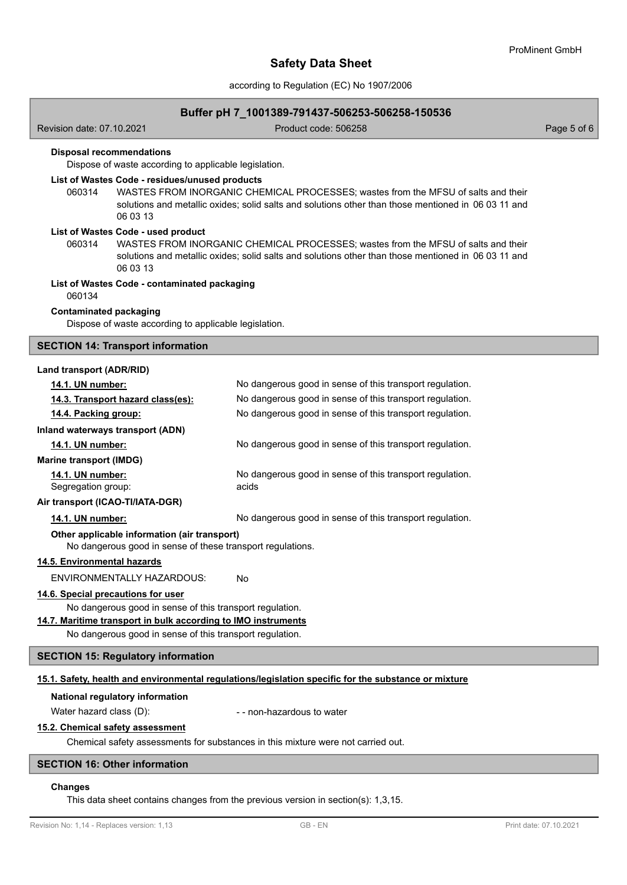according to Regulation (EC) No 1907/2006

### **Buffer pH 7\_1001389-791437-506253-506258-150536**

Revision date: 07.10.2021 Product code: 506258 Page 5 of 6

### **Disposal recommendations**

Dispose of waste according to applicable legislation.

### **List of Wastes Code - residues/unused products**

060314 WASTES FROM INORGANIC CHEMICAL PROCESSES; wastes from the MFSU of salts and their solutions and metallic oxides; solid salts and solutions other than those mentioned in 06 03 11 and 06 03 13

## **List of Wastes Code - used product**

WASTES FROM INORGANIC CHEMICAL PROCESSES; wastes from the MFSU of salts and their solutions and metallic oxides; solid salts and solutions other than those mentioned in 06 03 11 and 06 03 13 060314

#### **List of Wastes Code - contaminated packaging**

060134

#### **Contaminated packaging**

Dispose of waste according to applicable legislation.

#### **SECTION 14: Transport information**

## **Land transport (ADR/RID)**

| <b>14.1. UN number:</b>                       | No dangerous good in sense of this transport regulation.          |
|-----------------------------------------------|-------------------------------------------------------------------|
| 14.3. Transport hazard class(es):             | No dangerous good in sense of this transport regulation.          |
| 14.4. Packing group:                          | No dangerous good in sense of this transport regulation.          |
| Inland waterways transport (ADN)              |                                                                   |
| 14.1. UN number:                              | No dangerous good in sense of this transport regulation.          |
| <b>Marine transport (IMDG)</b>                |                                                                   |
| <b>14.1. UN number:</b><br>Segregation group: | No dangerous good in sense of this transport regulation.<br>acids |
| Air transport (ICAO-TI/IATA-DGR)              |                                                                   |
| <b>14.1. UN number:</b>                       | No dangerous good in sense of this transport regulation.          |

#### **Other applicable information (air transport)**

No dangerous good in sense of these transport regulations.

### **14.5. Environmental hazards**

ENVIRONMENTALLY HAZARDOUS: No

#### **14.6. Special precautions for user**

No dangerous good in sense of this transport regulation.

#### **14.7. Maritime transport in bulk according to IMO instruments**

No dangerous good in sense of this transport regulation.

## **SECTION 15: Regulatory information**

#### **15.1. Safety, health and environmental regulations/legislation specific for the substance or mixture**

#### **National regulatory information**

Water hazard class (D):  $\blacksquare$  - non-hazardous to water

#### **15.2. Chemical safety assessment**

Chemical safety assessments for substances in this mixture were not carried out.

### **SECTION 16: Other information**

#### **Changes**

This data sheet contains changes from the previous version in section(s): 1,3,15.